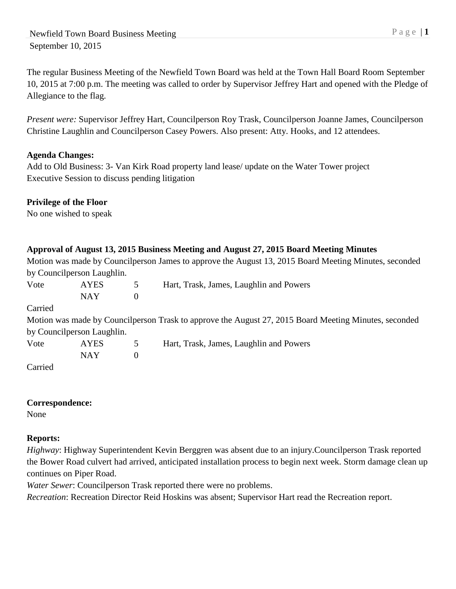The regular Business Meeting of the Newfield Town Board was held at the Town Hall Board Room September 10, 2015 at 7:00 p.m. The meeting was called to order by Supervisor Jeffrey Hart and opened with the Pledge of Allegiance to the flag.

*Present were:* Supervisor Jeffrey Hart, Councilperson Roy Trask, Councilperson Joanne James, Councilperson Christine Laughlin and Councilperson Casey Powers. Also present: Atty. Hooks, and 12 attendees.

## **Agenda Changes:**

Add to Old Business: 3- Van Kirk Road property land lease/ update on the Water Tower project Executive Session to discuss pending litigation

## **Privilege of the Floor**

No one wished to speak

## **Approval of August 13, 2015 Business Meeting and August 27, 2015 Board Meeting Minutes**

Motion was made by Councilperson James to approve the August 13, 2015 Board Meeting Minutes, seconded by Councilperson Laughlin.

| Vote    | <b>AYES</b><br>5           |               | Hart, Trask, James, Laughlin and Powers                                                               |  |
|---------|----------------------------|---------------|-------------------------------------------------------------------------------------------------------|--|
|         | <b>NAY</b>                 | $\Omega$      |                                                                                                       |  |
| Carried |                            |               |                                                                                                       |  |
|         |                            |               | Motion was made by Councilperson Trask to approve the August 27, 2015 Board Meeting Minutes, seconded |  |
|         | by Councilperson Laughlin. |               |                                                                                                       |  |
| Vote    | <b>AYES</b>                | $\mathcal{D}$ | Hart, Trask, James, Laughlin and Powers                                                               |  |
|         | <b>NAY</b>                 | $\Omega$      |                                                                                                       |  |
| Carried |                            |               |                                                                                                       |  |

### **Correspondence:**

None

# **Reports:**

*Highway*: Highway Superintendent Kevin Berggren was absent due to an injury.Councilperson Trask reported the Bower Road culvert had arrived, anticipated installation process to begin next week. Storm damage clean up continues on Piper Road.

*Water Sewer*: Councilperson Trask reported there were no problems.

*Recreation*: Recreation Director Reid Hoskins was absent; Supervisor Hart read the Recreation report.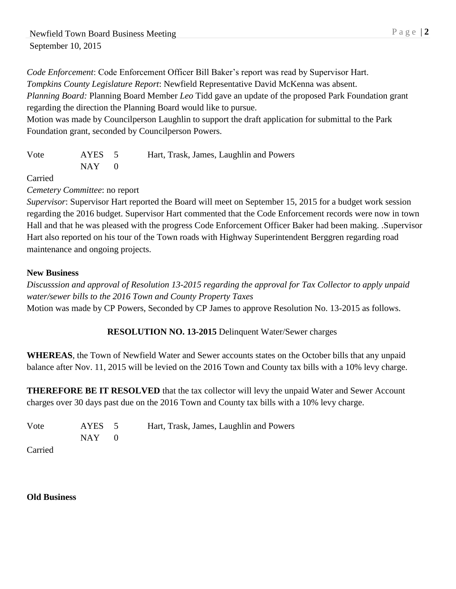*Code Enforcement*: Code Enforcement Officer Bill Baker's report was read by Supervisor Hart. *Tompkins County Legislature Report*: Newfield Representative David McKenna was absent.

*Planning Board:* Planning Board Member *Leo* Tidd gave an update of the proposed Park Foundation grant regarding the direction the Planning Board would like to pursue.

Motion was made by Councilperson Laughlin to support the draft application for submittal to the Park Foundation grant, seconded by Councilperson Powers.

| Vote | AYES 5    | Hart, Trask, James, Laughlin and Powers |
|------|-----------|-----------------------------------------|
|      | $NAY = 0$ |                                         |

Carried

*Cemetery Committee*: no report

*Supervisor*: Supervisor Hart reported the Board will meet on September 15, 2015 for a budget work session regarding the 2016 budget. Supervisor Hart commented that the Code Enforcement records were now in town Hall and that he was pleased with the progress Code Enforcement Officer Baker had been making. .Supervisor Hart also reported on his tour of the Town roads with Highway Superintendent Berggren regarding road maintenance and ongoing projects.

#### **New Business**

*Discusssion and approval of Resolution 13-2015 regarding the approval for Tax Collector to apply unpaid water/sewer bills to the 2016 Town and County Property Taxes* Motion was made by CP Powers, Seconded by CP James to approve Resolution No. 13-2015 as follows.

**RESOLUTION NO. 13-2015** Delinquent Water/Sewer charges

**WHEREAS**, the Town of Newfield Water and Sewer accounts states on the October bills that any unpaid balance after Nov. 11, 2015 will be levied on the 2016 Town and County tax bills with a 10% levy charge.

**THEREFORE BE IT RESOLVED** that the tax collector will levy the unpaid Water and Sewer Account charges over 30 days past due on the 2016 Town and County tax bills with a 10% levy charge.

| Vote | AYES 5    | Hart, Trask, James, Laughlin and Powers |
|------|-----------|-----------------------------------------|
|      | $NAY = 0$ |                                         |

Carried

#### **Old Business**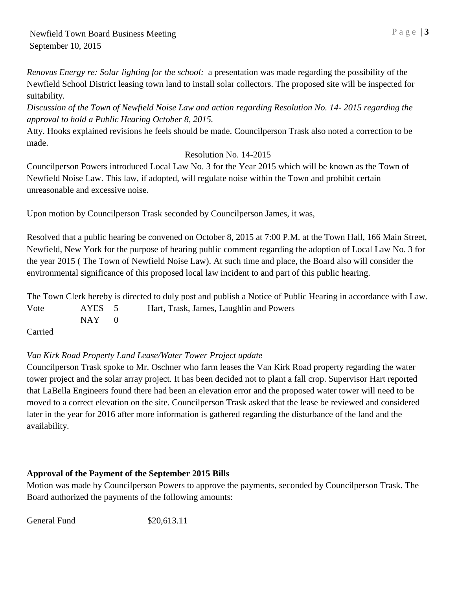*Renovus Energy re: Solar lighting for the school:* a presentation was made regarding the possibility of the Newfield School District leasing town land to install solar collectors. The proposed site will be inspected for suitability.

*Discussion of the Town of Newfield Noise Law and action regarding Resolution No. 14- 2015 regarding the approval to hold a Public Hearing October 8, 2015.*

Atty. Hooks explained revisions he feels should be made. Councilperson Trask also noted a correction to be made.

## Resolution No. 14-2015

Councilperson Powers introduced Local Law No. 3 for the Year 2015 which will be known as the Town of Newfield Noise Law. This law, if adopted, will regulate noise within the Town and prohibit certain unreasonable and excessive noise.

Upon motion by Councilperson Trask seconded by Councilperson James, it was,

Resolved that a public hearing be convened on October 8, 2015 at 7:00 P.M. at the Town Hall, 166 Main Street, Newfield, New York for the purpose of hearing public comment regarding the adoption of Local Law No. 3 for the year 2015 ( The Town of Newfield Noise Law). At such time and place, the Board also will consider the environmental significance of this proposed local law incident to and part of this public hearing.

The Town Clerk hereby is directed to duly post and publish a Notice of Public Hearing in accordance with Law. Vote AYES 5 Hart, Trask, James, Laughlin and Powers  $NAY$  0

Carried

# *Van Kirk Road Property Land Lease/Water Tower Project update*

Councilperson Trask spoke to Mr. Oschner who farm leases the Van Kirk Road property regarding the water tower project and the solar array project. It has been decided not to plant a fall crop. Supervisor Hart reported that LaBella Engineers found there had been an elevation error and the proposed water tower will need to be moved to a correct elevation on the site. Councilperson Trask asked that the lease be reviewed and considered later in the year for 2016 after more information is gathered regarding the disturbance of the land and the availability.

### **Approval of the Payment of the September 2015 Bills**

Motion was made by Councilperson Powers to approve the payments, seconded by Councilperson Trask. The Board authorized the payments of the following amounts:

General Fund \$20,613.11